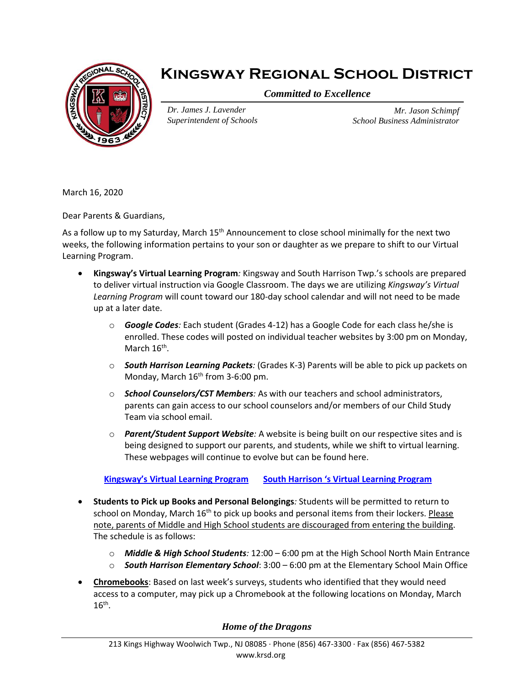

## **Kingsway Regional School District**

*Committed to Excellence*

*Dr. James J. Lavender Superintendent of Schools*

*Mr. Jason Schimpf School Business Administrator*

March 16, 2020

Dear Parents & Guardians,

As a follow up to my Saturday, March 15<sup>th</sup> Announcement to close school minimally for the next two weeks, the following information pertains to your son or daughter as we prepare to shift to our Virtual Learning Program.

- **Kingsway's Virtual Learning Program***:* Kingsway and South Harrison Twp.'s schools are prepared to deliver virtual instruction via Google Classroom. The days we are utilizing *Kingsway's Virtual Learning Program* will count toward our 180-day school calendar and will not need to be made up at a later date.
	- o *Google Codes:* Each student (Grades 4-12) has a Google Code for each class he/she is enrolled. These codes will posted on individual teacher websites by 3:00 pm on Monday, March 16<sup>th</sup>.
	- o *South Harrison Learning Packets:* (Grades K-3) Parents will be able to pick up packets on Monday, March 16<sup>th</sup> from 3-6:00 pm.
	- o *School Counselors/CST Members:* As with our teachers and school administrators, parents can gain access to our school counselors and/or members of our Child Study Team via school email.
	- o *Parent/Student Support Website:* A website is being built on our respective sites and is being designed to support our parents, and students, while we shift to virtual learning. These webpages will continue to evolve but can be found here.

**Kingsway's [Virtual Learning Program](https://www.krsd.org/domain/434) South Harrison '[s Virtual Learning Program](https://www.southharrison.k12.nj.us/domain/217)**

- **Students to Pick up Books and Personal Belongings***:* Students will be permitted to return to school on Monday, March 16<sup>th</sup> to pick up books and personal items from their lockers. Please note, parents of Middle and High School students are discouraged from entering the building. The schedule is as follows:
	- o *Middle & High School Students:* 12:00 6:00 pm at the High School North Main Entrance
	- o *South Harrison Elementary School*: 3:00 6:00 pm at the Elementary School Main Office
- **Chromebooks**: Based on last week's surveys, students who identified that they would need access to a computer, may pick up a Chromebook at the following locations on Monday, March  $16^{\text{th}}$ .

## *Home of the Dragons*